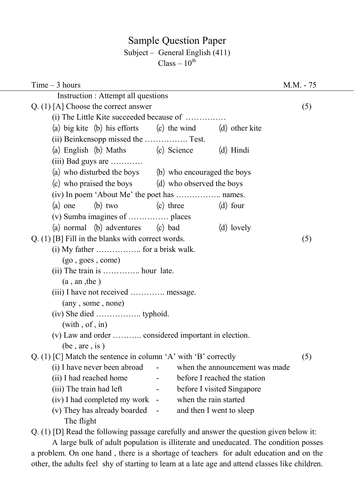# Sample Question Paper

# Subject – General English (411)

 $Class - 10<sup>th</sup>$ 

| $Time - 3 hours$                                                        | M.M. - 75 |
|-------------------------------------------------------------------------|-----------|
| Instruction : Attempt all questions                                     |           |
| Q. $(1)$ [A] Choose the correct answer                                  | (5)       |
| (i) The Little Kite succeeded because of                                |           |
| (a) big kite (b) his efforts (c) the wind (d) other kite                |           |
|                                                                         |           |
| (a) English (b) Maths (c) Science<br>(d) Hindi                          |           |
| $(iii)$ Bad guys are                                                    |           |
| (a) who disturbed the boys (b) who encouraged the boys                  |           |
| (c) who praised the boys (d) who observed the boys                      |           |
| (iv) In poem 'About Me' the poet has  names.                            |           |
| (a) one (b) two<br>(c) three<br>$(d)$ four                              |           |
|                                                                         |           |
| (a) normal (b) adventures (c) bad<br>(d) lovely                         |           |
| $Q. (1)$ [B] Fill in the blanks with correct words.                     | (5)       |
|                                                                         |           |
| (go, goes, come)                                                        |           |
| $(ii)$ The train is  hour late.                                         |           |
| (a, an, the)                                                            |           |
| (iii) I have not received  message.                                     |           |
| (any, some, none)                                                       |           |
|                                                                         |           |
| (with, of, in)                                                          |           |
| (v) Law and order  considered important in election.                    |           |
| (be, are, is)                                                           |           |
| Q. (1) [C] Match the sentence in column 'A' with 'B' correctly          | (5)       |
| when the announcement was made<br>(i) I have never been abroad          |           |
| (ii) I had reached home<br>before I reached the station                 |           |
| (iii) The train had left<br>before I visited Singapore                  |           |
| when the rain started<br>(iv) I had completed my work<br>$\blacksquare$ |           |
| (v) They has already boarded<br>and then I went to sleep                |           |
| The flight                                                              |           |

Q. (1) [D] Read the following passage carefully and answer the question given below it:

 A large bulk of adult population is illiterate and uneducated. The condition posses a problem. On one hand , there is a shortage of teachers for adult education and on the other, the adults feel shy of starting to learn at a late age and attend classes like children.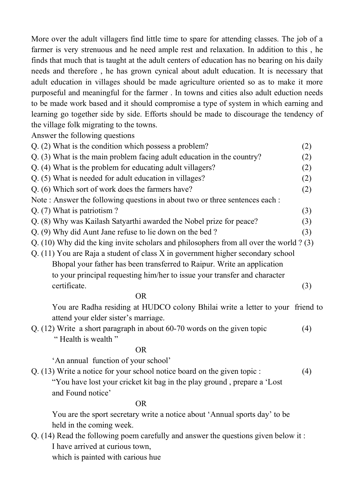More over the adult villagers find little time to spare for attending classes. The job of a farmer is very strenuous and he need ample rest and relaxation. In addition to this , he finds that much that is taught at the adult centers of education has no bearing on his daily needs and therefore , he has grown cynical about adult education. It is necessary that adult education in villages should be made agriculture oriented so as to make it more purposeful and meaningful for the farmer . In towns and cities also adult eduction needs to be made work based and it should compromise a type of system in which earning and learning go together side by side. Efforts should be made to discourage the tendency of the village folk migrating to the towns.

Answer the following questions

| Q. (2) What is the condition which possess a problem?                                     | (2) |
|-------------------------------------------------------------------------------------------|-----|
| Q. (3) What is the main problem facing adult education in the country?                    | (2) |
| Q. (4) What is the problem for educating adult villagers?                                 | (2) |
| Q. (5) What is needed for adult education in villages?                                    | (2) |
| Q. (6) Which sort of work does the farmers have?                                          | (2) |
| Note: Answer the following questions in about two or three sentences each :               |     |
| Q. (7) What is patriotism?                                                                | (3) |
| Q. (8) Why was Kailash Satyarthi awarded the Nobel prize for peace?                       | (3) |
| Q. (9) Why did Aunt Jane refuse to lie down on the bed?                                   | (3) |
| Q. (10) Why did the king invite scholars and philosophers from all over the world $? (3)$ |     |
| $Q.$ (11) You are Raja a student of class X in government higher secondary school         |     |
| Bhopal your father has been transferred to Raipur. Write an application                   |     |
| to your principal requesting him/her to issue your transfer and character                 |     |
| certificate.                                                                              | (3) |
|                                                                                           |     |

#### OR

You are Radha residing at HUDCO colony Bhilai write a letter to your friend to attend your elder sister's marriage.

- Q. (12) Write a short paragraph in about 60-70 words on the given topic (4)
	- " Health is wealth "

### OR

'An annual function of your school'

Q. (13) Write a notice for your school notice board on the given topic : (4)

 "You have lost your cricket kit bag in the play ground , prepare a 'Lost and Found notice'

### OR

You are the sport secretary write a notice about 'Annual sports day' to be held in the coming week.

Q. (14) Read the following poem carefully and answer the questions given below it : I have arrived at curious town,

which is painted with carious hue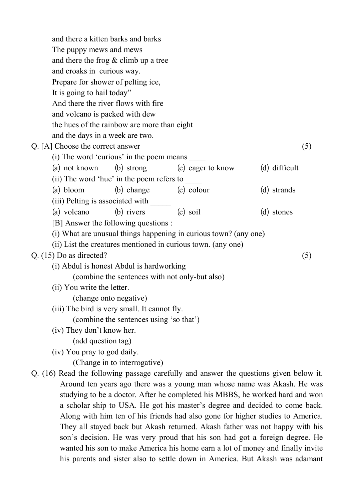and there a kitten barks and barks The puppy mews and mews and there the frog & climb up a tree and croaks in curious way. Prepare for shower of pelting ice, It is going to hail today" And there the river flows with fire and volcano is packed with dew the hues of the rainbow are more than eight and the days in a week are two. Q. [A] Choose the correct answer (5) (i) The word 'curious' in the poem means \_\_\_\_ (a) not known (b) strong  $(c)$  eager to know  $(d)$  difficult (ii) The word 'hue' in the poem refers to \_\_\_\_ (a) bloom  $(b)$  change  $(c)$  colour  $(d)$  strands (iii) Pelting is associated with \_\_\_\_\_\_\_ (a) volcano  $\qquad$  (b) rivers  $\qquad$  (c) soil  $\qquad$  (d) stones [B] Answer the following questions : (i) What are unusual things happening in curious town? (any one) (ii) List the creatures mentioned in curious town. (any one)  $Q. (15)$  Do as directed? (5) (i) Abdul is honest Abdul is hardworking (combine the sentences with not only-but also) (ii) You write the letter. (change onto negative) (iii) The bird is very small. It cannot fly. (combine the sentences using 'so that') (iv) They don't know her. (add question tag) (iv) You pray to god daily. (Change in to interrogative) Q. (16) Read the following passage carefully and answer the questions given below it. Around ten years ago there was a young man whose name was Akash. He was studying to be a doctor. After he completed his MBBS, he worked hard and won

a scholar ship to USA. He got his master's degree and decided to come back. Along with him ten of his friends had also gone for higher studies to America. They all stayed back but Akash returned. Akash father was not happy with his son's decision. He was very proud that his son had got a foreign degree. He wanted his son to make America his home earn a lot of money and finally invite his parents and sister also to settle down in America. But Akash was adamant